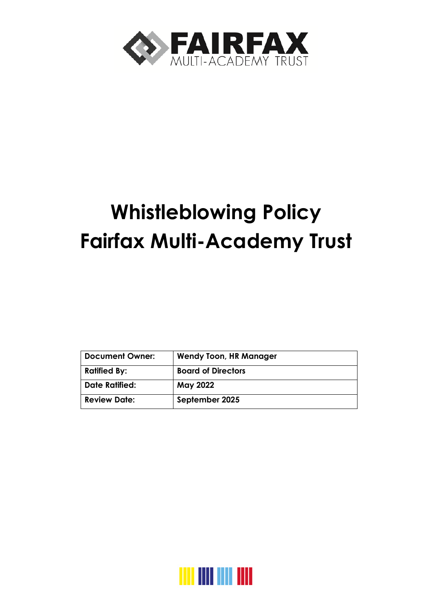

# **Whistleblowing Policy Fairfax Multi-Academy Trust**

| <b>Document Owner:</b> | <b>Wendy Toon, HR Manager</b> |  |
|------------------------|-------------------------------|--|
| <b>Ratified By:</b>    | <b>Board of Directors</b>     |  |
| <b>Date Ratified:</b>  | <b>May 2022</b>               |  |
| <b>Review Date:</b>    | September 2025                |  |

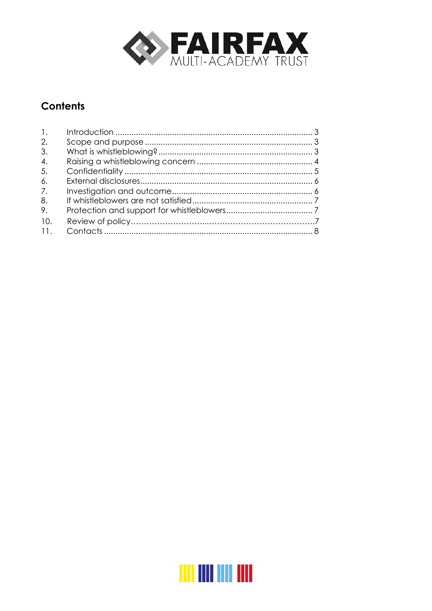

## **Contents**

| $\mathbf{1}$ .   |  |
|------------------|--|
| 2.               |  |
| 3.               |  |
| $\overline{4}$ . |  |
| -5.              |  |
| 6.               |  |
| 7.               |  |
| 8.               |  |
| 9.               |  |
| <b>10</b>        |  |
| 11.              |  |

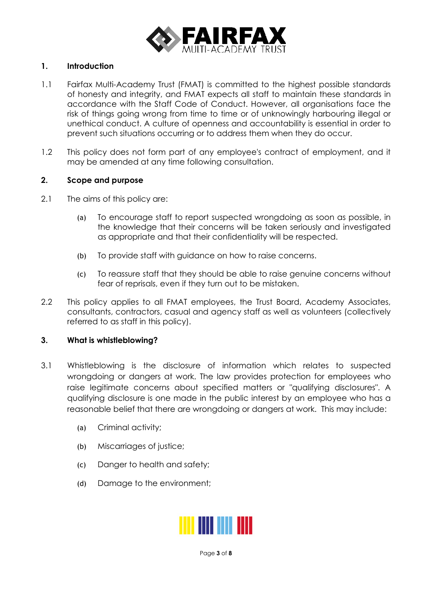

#### <span id="page-2-0"></span>**1. Introduction**

- 1.1 Fairfax Multi-Academy Trust (FMAT) is committed to the highest possible standards of honesty and integrity, and FMAT expects all staff to maintain these standards in accordance with the Staff Code of Conduct. However, all organisations face the risk of things going wrong from time to time or of unknowingly harbouring illegal or unethical conduct. A culture of openness and accountability is essential in order to prevent such situations occurring or to address them when they do occur.
- 1.2 This policy does not form part of any employee's contract of employment, and it may be amended at any time following consultation.

#### <span id="page-2-1"></span>**2. Scope and purpose**

- 2.1 The aims of this policy are:
	- (a) To encourage staff to report suspected wrongdoing as soon as possible, in the knowledge that their concerns will be taken seriously and investigated as appropriate and that their confidentiality will be respected.
	- (b) To provide staff with guidance on how to raise concerns.
	- (c) To reassure staff that they should be able to raise genuine concerns without fear of reprisals, even if they turn out to be mistaken.
- 2.2 This policy applies to all FMAT employees, the Trust Board, Academy Associates, consultants, contractors, casual and agency staff as well as volunteers (collectively referred to as staff in this policy).

#### <span id="page-2-2"></span>**3. What is whistleblowing?**

- 3.1 Whistleblowing is the disclosure of information which relates to suspected wrongdoing or dangers at work. The law provides protection for employees who raise legitimate concerns about specified matters or "qualifying disclosures". A qualifying disclosure is one made in the public interest by an employee who has a reasonable belief that there are wrongdoing or dangers at work. This may include:
	- (a) Criminal activity;
	- (b) Miscarriages of justice;
	- (c) Danger to health and safety;
	- (d) Damage to the environment;



Page **3** of **8**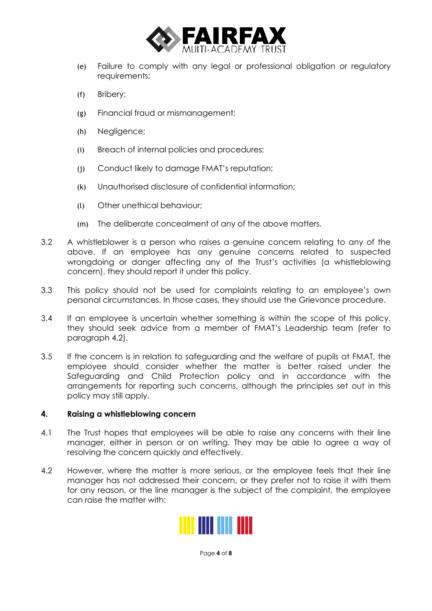

- (e) Failure to comply with any legal or professional obligation or regulatory requirements;
- (f) Bribery;
- (g) Financial fraud or mismanagement;
- (h) Negligence;
- (i) Breach of internal policies and procedures;
- (j) Conduct likely to damage FMAT's reputation;
- (k) Unauthorised disclosure of confidential information;
- (l) Other unethical behaviour;
- (m) The deliberate concealment of any of the above matters.
- 3.2 A whistleblower is a person who raises a genuine concern relating to any of the above. If an employee has any genuine concerns related to suspected wrongdoing or danger affecting any of the Trust's activities (a whistleblowing concern), they should report it under this policy.
- 3.3 This policy should not be used for complaints relating to an employee's own personal circumstances. In those cases, they should use the Grievance procedure.
- 3.4 If an employee is uncertain whether something is within the scope of this policy, they should seek advice from a member of FMAT's Leadership team (refer to paragraph 4.2).
- 3.5 If the concern is in relation to safeguarding and the welfare of pupils at FMAT, the employee should consider whether the matter is better raised under the Safeguarding and Child Protection policy and in accordance with the arrangements for reporting such concerns, although the principles set out in this policy may still apply.

#### <span id="page-3-0"></span>**4. Raising a whistleblowing concern**

- 4.1 The Trust hopes that employees will be able to raise any concerns with their line manager, either in person or on writing. They may be able to agree a way of resolving the concern quickly and effectively.
- 4.2 However, where the matter is more serious, or the employee feels that their line manager has not addressed their concern, or they prefer not to raise it with them for any reason, or the line manager is the subject of the complaint, the employee can raise the matter with:



Page **4** of **8**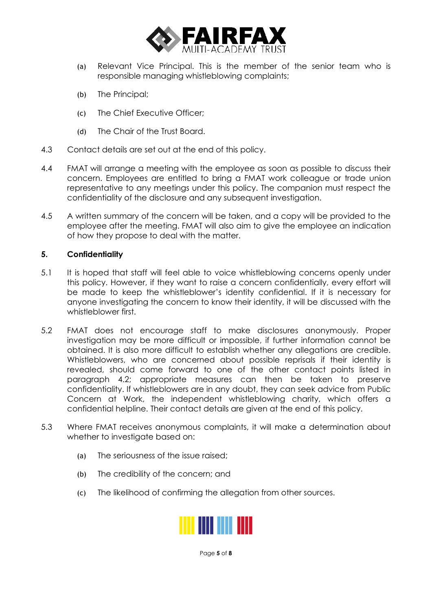

- (a) Relevant Vice Principal. This is the member of the senior team who is responsible managing whistleblowing complaints;
- (b) The Principal;
- (c) The Chief Executive Officer;
- (d) The Chair of the Trust Board.
- 4.3 Contact details are set out at the end of this policy.
- 4.4 FMAT will arrange a meeting with the employee as soon as possible to discuss their concern. Employees are entitled to bring a FMAT work colleague or trade union representative to any meetings under this policy. The companion must respect the confidentiality of the disclosure and any subsequent investigation.
- 4.5 A written summary of the concern will be taken, and a copy will be provided to the employee after the meeting. FMAT will also aim to give the employee an indication of how they propose to deal with the matter.

#### <span id="page-4-0"></span>**5. Confidentiality**

- 5.1 It is hoped that staff will feel able to voice whistleblowing concerns openly under this policy. However, if they want to raise a concern confidentially, every effort will be made to keep the whistleblower's identity confidential. If it is necessary for anyone investigating the concern to know their identity, it will be discussed with the whistleblower first.
- 5.2 FMAT does not encourage staff to make disclosures anonymously. Proper investigation may be more difficult or impossible, if further information cannot be obtained. It is also more difficult to establish whether any allegations are credible. Whistleblowers, who are concerned about possible reprisals if their identity is revealed, should come forward to one of the other contact points listed in paragraph 4.2; appropriate measures can then be taken to preserve confidentiality. If whistleblowers are in any doubt, they can seek advice from Public Concern at Work, the independent whistleblowing charity, which offers a confidential helpline. Their contact details are given at the end of this policy.
- 5.3 Where FMAT receives anonymous complaints, it will make a determination about whether to investigate based on:
	- (a) The seriousness of the issue raised;
	- (b) The credibility of the concern; and
	- (c) The likelihood of confirming the allegation from other sources.



Page **5** of **8**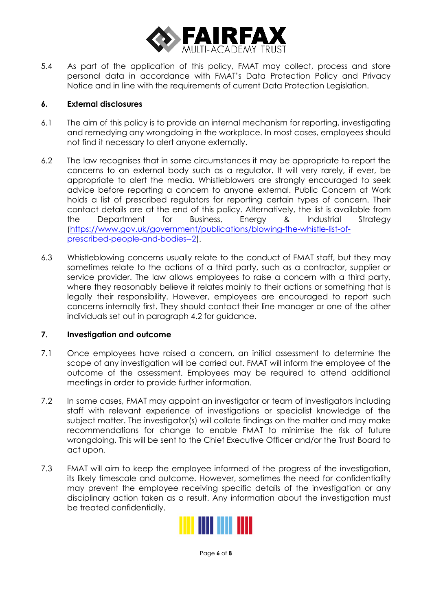

5.4 As part of the application of this policy, FMAT may collect, process and store personal data in accordance with FMAT's Data Protection Policy and Privacy Notice and in line with the requirements of current Data Protection Legislation.

#### <span id="page-5-0"></span>**6. External disclosures**

- 6.1 The aim of this policy is to provide an internal mechanism for reporting, investigating and remedying any wrongdoing in the workplace. In most cases, employees should not find it necessary to alert anyone externally.
- 6.2 The law recognises that in some circumstances it may be appropriate to report the concerns to an external body such as a regulator. It will very rarely, if ever, be appropriate to alert the media. Whistleblowers are strongly encouraged to seek advice before reporting a concern to anyone external. Public Concern at Work holds a list of prescribed regulators for reporting certain types of concern. Their contact details are at the end of this policy. Alternatively, the list is available from the Department for Business, Energy & Industrial Strategy (https://www.gov.uk/government/publications/blowing-the-whistle-list-ofprescribed-people-and-bodies--2).
- 6.3 Whistleblowing concerns usually relate to the conduct of FMAT staff, but they may sometimes relate to the actions of a third party, such as a contractor, supplier or service provider. The law allows employees to raise a concern with a third party, where they reasonably believe it relates mainly to their actions or something that is legally their responsibility. However, employees are encouraged to report such concerns internally first. They should contact their line manager or one of the other individuals set out in paragraph 4.2 for guidance.

#### <span id="page-5-1"></span>**7. Investigation and outcome**

- 7.1 Once employees have raised a concern, an initial assessment to determine the scope of any investigation will be carried out. FMAT will inform the employee of the outcome of the assessment. Employees may be required to attend additional meetings in order to provide further information.
- 7.2 In some cases, FMAT may appoint an investigator or team of investigators including staff with relevant experience of investigations or specialist knowledge of the subject matter. The investigator(s) will collate findings on the matter and may make recommendations for change to enable FMAT to minimise the risk of future wrongdoing. This will be sent to the Chief Executive Officer and/or the Trust Board to act upon.
- 7.3 FMAT will aim to keep the employee informed of the progress of the investigation, its likely timescale and outcome. However, sometimes the need for confidentiality may prevent the employee receiving specific details of the investigation or any disciplinary action taken as a result. Any information about the investigation must be treated confidentially.



Page **6** of **8**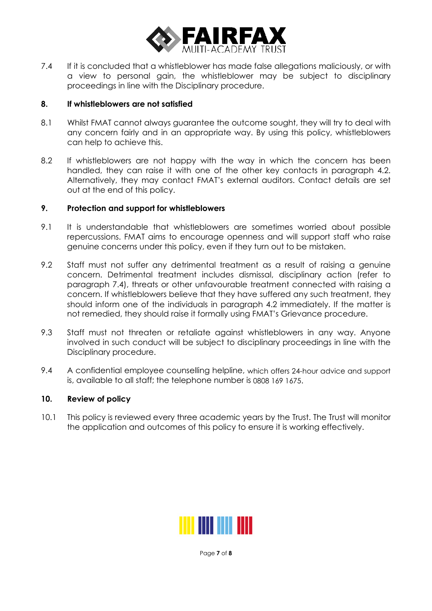

7.4 If it is concluded that a whistleblower has made false allegations maliciously, or with a view to personal gain, the whistleblower may be subject to disciplinary proceedings in line with the Disciplinary procedure.

#### <span id="page-6-0"></span>**8. If whistleblowers are not satisfied**

- 8.1 Whilst FMAT cannot always guarantee the outcome sought, they will try to deal with any concern fairly and in an appropriate way. By using this policy, whistleblowers can help to achieve this.
- 8.2 If whistleblowers are not happy with the way in which the concern has been handled, they can raise it with one of the other key contacts in paragraph 4.2. Alternatively, they may contact FMAT's external auditors. Contact details are set out at the end of this policy.

#### <span id="page-6-1"></span>**9. Protection and support for whistleblowers**

- 9.1 It is understandable that whistleblowers are sometimes worried about possible repercussions. FMAT aims to encourage openness and will support staff who raise genuine concerns under this policy, even if they turn out to be mistaken.
- 9.2 Staff must not suffer any detrimental treatment as a result of raising a genuine concern. Detrimental treatment includes dismissal, disciplinary action (refer to paragraph 7.4), threats or other unfavourable treatment connected with raising a concern. If whistleblowers believe that they have suffered any such treatment, they should inform one of the individuals in paragraph 4.2 immediately. If the matter is not remedied, they should raise it formally using FMAT's Grievance procedure.
- 9.3 Staff must not threaten or retaliate against whistleblowers in any way. Anyone involved in such conduct will be subject to disciplinary proceedings in line with the Disciplinary procedure.
- 9.4 A confidential employee counselling helpline, which offers 24-hour advice and support is, available to all staff; the telephone number is 0808 169 1675.

#### **10. Review of policy**

10.1 This policy is reviewed every three academic years by the Trust. The Trust will monitor the application and outcomes of this policy to ensure it is working effectively.



Page **7** of **8**